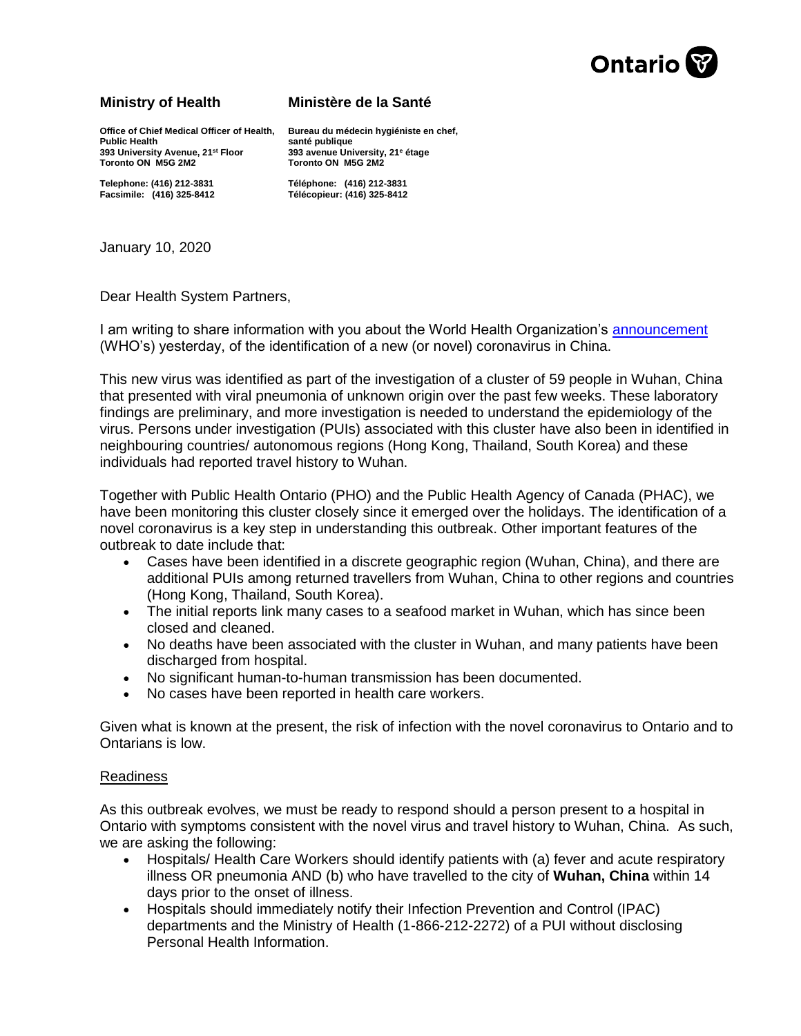

## **Ministry of Health Ministère de la Santé**

**Office of Chief Medical Officer of Health, Bureau du médecin hygiéniste en chef, 393 University Avenue, 21st Floor 393 avenue University, 21<sup>e</sup> étage Toronto ON M5G 2M2 Toronto ON M5G 2M2**

santé publique<br>**393 avenue University**, 21<sup>e</sup> étage

**Telephone: (416) 212-3831 Téléphone: (416) 212-3831 Facsimile: (416) 325-8412 Télécopieur: (416) 325-8412**

January 10, 2020

Dear Health System Partners,

I am writing to share information with you about the World Health Organization's [announcement](https://www.who.int/china/news/detail/09-01-2020-who-statement-regarding-cluster-of-pneumonia-cases-in-wuhan-china) (WHO's) yesterday, of the identification of a new (or novel) coronavirus in China.

This new virus was identified as part of the investigation of a cluster of 59 people in Wuhan, China that presented with viral pneumonia of unknown origin over the past few weeks. These laboratory findings are preliminary, and more investigation is needed to understand the epidemiology of the virus. Persons under investigation (PUIs) associated with this cluster have also been in identified in neighbouring countries/ autonomous regions (Hong Kong, Thailand, South Korea) and these individuals had reported travel history to Wuhan.

Together with Public Health Ontario (PHO) and the Public Health Agency of Canada (PHAC), we have been monitoring this cluster closely since it emerged over the holidays. The identification of a novel coronavirus is a key step in understanding this outbreak. Other important features of the outbreak to date include that:

- Cases have been identified in a discrete geographic region (Wuhan, China), and there are additional PUIs among returned travellers from Wuhan, China to other regions and countries (Hong Kong, Thailand, South Korea).
- The initial reports link many cases to a seafood market in Wuhan, which has since been closed and cleaned.
- No deaths have been associated with the cluster in Wuhan, and many patients have been discharged from hospital.
- No significant human-to-human transmission has been documented.
- No cases have been reported in health care workers.

Given what is known at the present, the risk of infection with the novel coronavirus to Ontario and to Ontarians is low.

## Readiness

As this outbreak evolves, we must be ready to respond should a person present to a hospital in Ontario with symptoms consistent with the novel virus and travel history to Wuhan, China. As such, we are asking the following:

- Hospitals/Health Care Workers should identify patients with (a) fever and acute respiratory illness OR pneumonia AND (b) who have travelled to the city of **Wuhan, China** within 14 days prior to the onset of illness.
- Hospitals should immediately notify their Infection Prevention and Control (IPAC) departments and the Ministry of Health (1-866-212-2272) of a PUI without disclosing Personal Health Information.